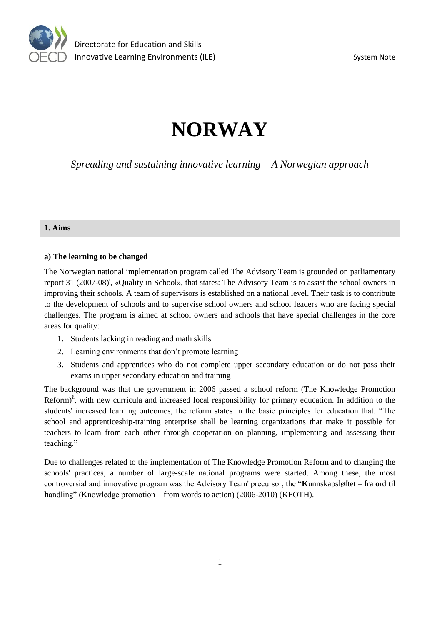

# **NORWAY**

*Spreading and sustaining innovative learning – A Norwegian approach*

## **1. Aims**

## **a) The learning to be changed**

The Norwegian national implementation program called The Advisory Team is grounded on parliamentary report 31 (2007-08)<sup>i</sup>, «Quality in School», that states: The Advisory Team is to assist the school owners in improving their schools. A team of supervisors is established on a national level. Their task is to contribute to the development of schools and to supervise school owners and school leaders who are facing special challenges. The program is aimed at school owners and schools that have special challenges in the core areas for quality:

- 1. Students lacking in reading and math skills
- 2. Learning environments that don't promote learning
- 3. Students and apprentices who do not complete upper secondary education or do not pass their exams in upper secondary education and training

The background was that the government in 2006 passed a school reform (The Knowledge Promotion Reform)<sup>n</sup>, with new curricula and increased local responsibility for primary education. In addition to the students' increased learning outcomes, the reform states in the basic principles for education that: "The school and apprenticeship-training enterprise shall be learning organizations that make it possible for teachers to learn from each other through cooperation on planning, implementing and assessing their teaching."

Due to challenges related to the implementation of The Knowledge Promotion Reform and to changing the schools' practices, a number of large-scale national programs were started. Among these, the most controversial and innovative program was the Advisory Team' precursor, the "**K**unnskapsløftet – **f**ra **o**rd **t**il **h**andling" (Knowledge promotion – from words to action) (2006-2010) (KFOTH).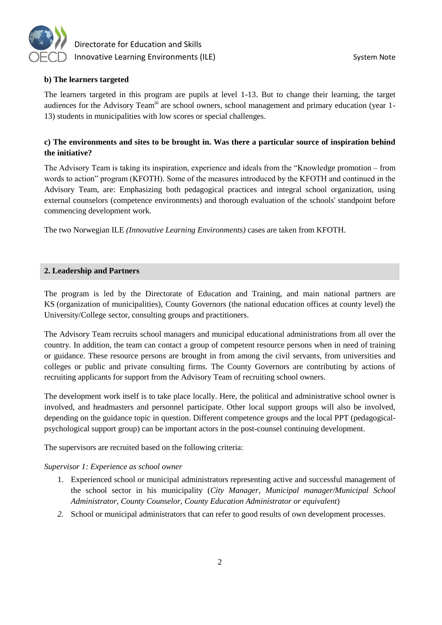

## **b) The learners targeted**

The learners targeted in this program are pupils at level 1-13. But to change their learning, the target audiences for the Advisory Team<sup>iii</sup> are school owners, school management and primary education (year 1-13) students in municipalities with low scores or special challenges.

## **c) The environments and sites to be brought in. Was there a particular source of inspiration behind the initiative?**

The Advisory Team is taking its inspiration, experience and ideals from the "Knowledge promotion – from words to action" program (KFOTH). Some of the measures introduced by the KFOTH and continued in the Advisory Team, are: Emphasizing both pedagogical practices and integral school organization, using external counselors (competence environments) and thorough evaluation of the schools' standpoint before commencing development work.

The two Norwegian ILE *(Innovative Learning Environments)* cases are taken from KFOTH.

## **2. Leadership and Partners**

The program is led by the Directorate of Education and Training, and main national partners are KS (organization of municipalities), County Governors (the national education offices at county level) the University/College sector, consulting groups and practitioners.

The Advisory Team recruits school managers and municipal educational administrations from all over the country. In addition, the team can contact a group of competent resource persons when in need of training or guidance. These resource persons are brought in from among the civil servants, from universities and colleges or public and private consulting firms. The County Governors are contributing by actions of recruiting applicants for support from the Advisory Team of recruiting school owners.

The development work itself is to take place locally. Here, the political and administrative school owner is involved, and headmasters and personnel participate. Other local support groups will also be involved, depending on the guidance topic in question. Different competence groups and the local PPT (pedagogicalpsychological support group) can be important actors in the post-counsel continuing development.

The supervisors are recruited based on the following criteria:

## *Supervisor 1: Experience as school owner*

- 1. Experienced school or municipal administrators representing active and successful management of the school sector in his municipality (*City Manager, Municipal manager/Municipal School Administrator, County Counselor, County Education Administrator or equivalent*)
- *2.* School or municipal administrators that can refer to good results of own development processes.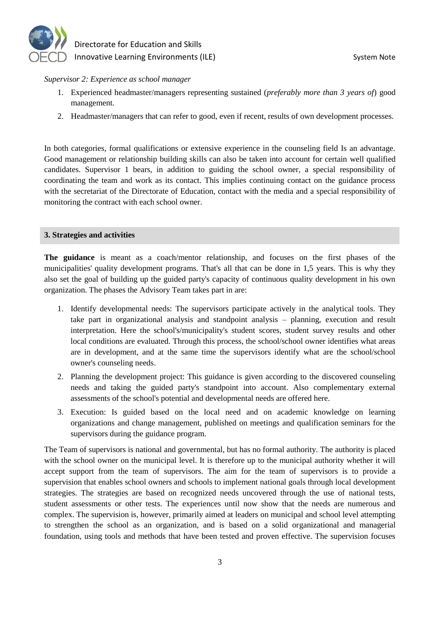

#### *Supervisor 2: Experience as school manager*

- 1. Experienced headmaster/managers representing sustained (*preferably more than 3 years of*) good management*.*
- 2. Headmaster/managers that can refer to good, even if recent, results of own development processes.

In both categories, formal qualifications or extensive experience in the counseling field Is an advantage. Good management or relationship building skills can also be taken into account for certain well qualified candidates. Supervisor 1 bears, in addition to guiding the school owner, a special responsibility of coordinating the team and work as its contact. This implies continuing contact on the guidance process with the secretariat of the Directorate of Education, contact with the media and a special responsibility of monitoring the contract with each school owner.

#### **3. Strategies and activities**

**The guidance** is meant as a coach/mentor relationship, and focuses on the first phases of the municipalities' quality development programs. That's all that can be done in 1,5 years. This is why they also set the goal of building up the guided party's capacity of continuous quality development in his own organization. The phases the Advisory Team takes part in are:

- 1. Identify developmental needs: The supervisors participate actively in the analytical tools. They take part in organizational analysis and standpoint analysis – planning, execution and result interpretation. Here the school's/municipality's student scores, student survey results and other local conditions are evaluated. Through this process, the school/school owner identifies what areas are in development, and at the same time the supervisors identify what are the school/school owner's counseling needs.
- 2. Planning the development project: This guidance is given according to the discovered counseling needs and taking the guided party's standpoint into account. Also complementary external assessments of the school's potential and developmental needs are offered here.
- 3. Execution: Is guided based on the local need and on academic knowledge on learning organizations and change management, published on meetings and qualification seminars for the supervisors during the guidance program.

The Team of supervisors is national and governmental, but has no formal authority. The authority is placed with the school owner on the municipal level. It is therefore up to the municipal authority whether it will accept support from the team of supervisors. The aim for the team of supervisors is to provide a supervision that enables school owners and schools to implement national goals through local development strategies. The strategies are based on recognized needs uncovered through the use of national tests, student assessments or other tests. The experiences until now show that the needs are numerous and complex. The supervision is, however, primarily aimed at leaders on municipal and school level attempting to strengthen the school as an organization, and is based on a solid organizational and managerial foundation, using tools and methods that have been tested and proven effective. The supervision focuses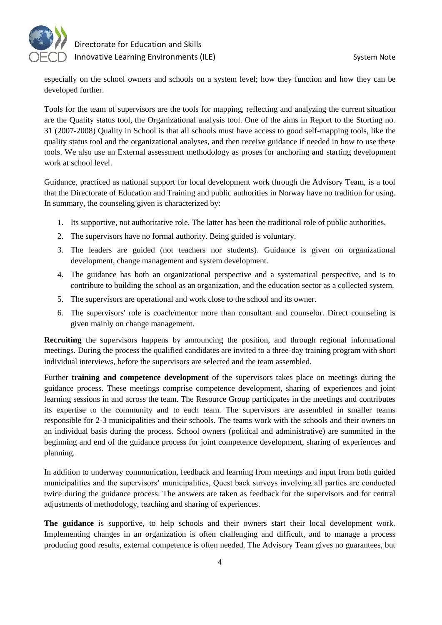

especially on the school owners and schools on a system level; how they function and how they can be developed further.

Tools for the team of supervisors are the tools for mapping, reflecting and analyzing the current situation are the Quality status tool, the Organizational analysis tool. One of the aims in Report to the Storting no. 31 (2007-2008) Quality in School is that all schools must have access to good self-mapping tools, like the quality status tool and the organizational analyses, and then receive guidance if needed in how to use these tools. We also use an External assessment methodology as proses for anchoring and starting development work at school level.

Guidance, practiced as national support for local development work through the Advisory Team, is a tool that the Directorate of Education and Training and public authorities in Norway have no tradition for using. In summary, the counseling given is characterized by:

- 1. Its supportive, not authoritative role. The latter has been the traditional role of public authorities.
- 2. The supervisors have no formal authority. Being guided is voluntary.
- 3. The leaders are guided (not teachers nor students). Guidance is given on organizational development, change management and system development.
- 4. The guidance has both an organizational perspective and a systematical perspective, and is to contribute to building the school as an organization, and the education sector as a collected system.
- 5. The supervisors are operational and work close to the school and its owner.
- 6. The supervisors' role is coach/mentor more than consultant and counselor. Direct counseling is given mainly on change management.

**Recruiting** the supervisors happens by announcing the position, and through regional informational meetings. During the process the qualified candidates are invited to a three-day training program with short individual interviews, before the supervisors are selected and the team assembled.

Further **training and competence development** of the supervisors takes place on meetings during the guidance process. These meetings comprise competence development, sharing of experiences and joint learning sessions in and across the team. The Resource Group participates in the meetings and contributes its expertise to the community and to each team. The supervisors are assembled in smaller teams responsible for 2-3 municipalities and their schools. The teams work with the schools and their owners on an individual basis during the process. School owners (political and administrative) are summited in the beginning and end of the guidance process for joint competence development, sharing of experiences and planning.

In addition to underway communication, feedback and learning from meetings and input from both guided municipalities and the supervisors' municipalities, Quest back surveys involving all parties are conducted twice during the guidance process. The answers are taken as feedback for the supervisors and for central adjustments of methodology, teaching and sharing of experiences.

**The guidance** is supportive, to help schools and their owners start their local development work. Implementing changes in an organization is often challenging and difficult, and to manage a process producing good results, external competence is often needed. The Advisory Team gives no guarantees, but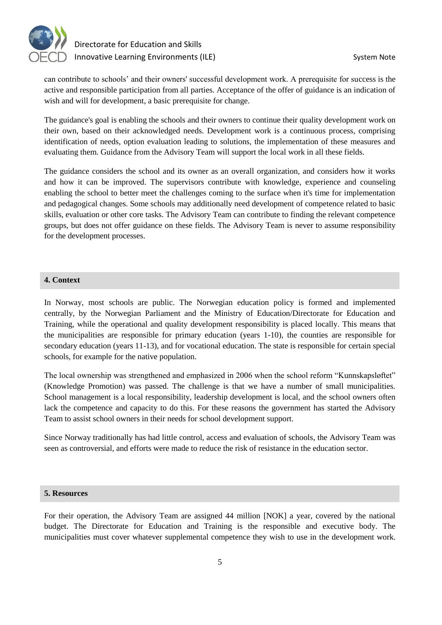

can contribute to schools' and their owners' successful development work. A prerequisite for success is the active and responsible participation from all parties. Acceptance of the offer of guidance is an indication of wish and will for development, a basic prerequisite for change.

The guidance's goal is enabling the schools and their owners to continue their quality development work on their own, based on their acknowledged needs. Development work is a continuous process, comprising identification of needs, option evaluation leading to solutions, the implementation of these measures and evaluating them. Guidance from the Advisory Team will support the local work in all these fields.

The guidance considers the school and its owner as an overall organization, and considers how it works and how it can be improved. The supervisors contribute with knowledge, experience and counseling enabling the school to better meet the challenges coming to the surface when it's time for implementation and pedagogical changes. Some schools may additionally need development of competence related to basic skills, evaluation or other core tasks. The Advisory Team can contribute to finding the relevant competence groups, but does not offer guidance on these fields. The Advisory Team is never to assume responsibility for the development processes.

## **4. Context**

In Norway, most schools are public. The Norwegian education policy is formed and implemented centrally, by the Norwegian Parliament and the Ministry of Education/Directorate for Education and Training, while the operational and quality development responsibility is placed locally. This means that the municipalities are responsible for primary education (years 1-10), the counties are responsible for secondary education (years 11-13), and for vocational education. The state is responsible for certain special schools, for example for the native population.

The local ownership was strengthened and emphasized in 2006 when the school reform "Kunnskapsløftet" (Knowledge Promotion) was passed. The challenge is that we have a number of small municipalities. School management is a local responsibility, leadership development is local, and the school owners often lack the competence and capacity to do this. For these reasons the government has started the Advisory Team to assist school owners in their needs for school development support.

Since Norway traditionally has had little control, access and evaluation of schools, the Advisory Team was seen as controversial, and efforts were made to reduce the risk of resistance in the education sector.

## **5. Resources**

For their operation, the Advisory Team are assigned 44 million [NOK] a year, covered by the national budget. The Directorate for Education and Training is the responsible and executive body. The municipalities must cover whatever supplemental competence they wish to use in the development work.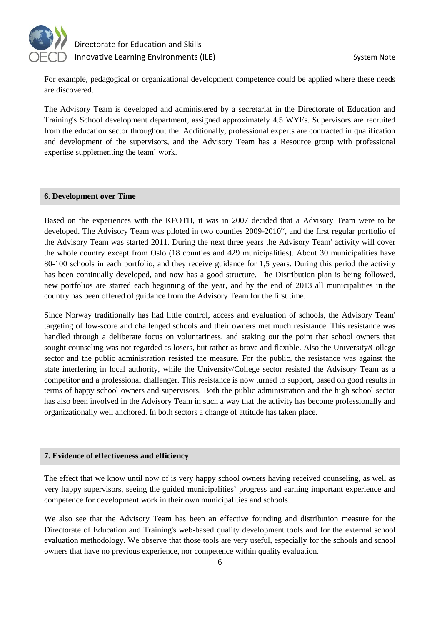

For example, pedagogical or organizational development competence could be applied where these needs are discovered.

The Advisory Team is developed and administered by a secretariat in the Directorate of Education and Training's School development department, assigned approximately 4.5 WYEs. Supervisors are recruited from the education sector throughout the. Additionally, professional experts are contracted in qualification and development of the supervisors, and the Advisory Team has a Resource group with professional expertise supplementing the team' work.

## **6. Development over Time**

Based on the experiences with the KFOTH, it was in 2007 decided that a Advisory Team were to be developed. The Advisory Team was piloted in two counties  $2009-2010<sup>iv</sup>$ , and the first regular portfolio of the Advisory Team was started 2011. During the next three years the Advisory Team' activity will cover the whole country except from Oslo (18 counties and 429 municipalities). About 30 municipalities have 80-100 schools in each portfolio, and they receive guidance for 1,5 years. During this period the activity has been continually developed, and now has a good structure. The Distribution plan is being followed, new portfolios are started each beginning of the year, and by the end of 2013 all municipalities in the country has been offered of guidance from the Advisory Team for the first time.

Since Norway traditionally has had little control, access and evaluation of schools, the Advisory Team' targeting of low-score and challenged schools and their owners met much resistance. This resistance was handled through a deliberate focus on voluntariness, and staking out the point that school owners that sought counseling was not regarded as losers, but rather as brave and flexible. Also the University/College sector and the public administration resisted the measure. For the public, the resistance was against the state interfering in local authority, while the University/College sector resisted the Advisory Team as a competitor and a professional challenger. This resistance is now turned to support, based on good results in terms of happy school owners and supervisors. Both the public administration and the high school sector has also been involved in the Advisory Team in such a way that the activity has become professionally and organizationally well anchored. In both sectors a change of attitude has taken place.

## **7. Evidence of effectiveness and efficiency**

The effect that we know until now of is very happy school owners having received counseling, as well as very happy supervisors, seeing the guided municipalities' progress and earning important experience and competence for development work in their own municipalities and schools.

We also see that the Advisory Team has been an effective founding and distribution measure for the Directorate of Education and Training's web-based quality development tools and for the external school evaluation methodology. We observe that those tools are very useful, especially for the schools and school owners that have no previous experience, nor competence within quality evaluation.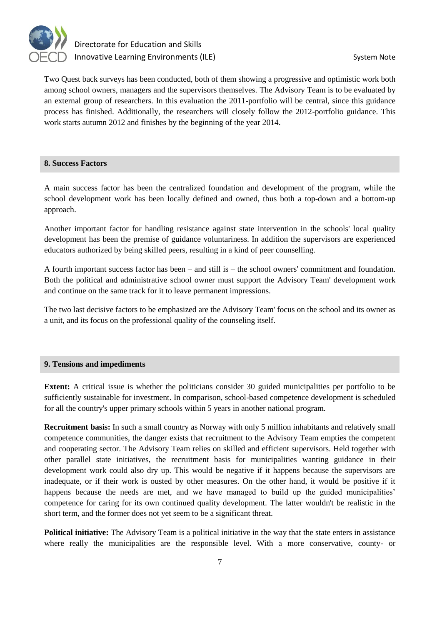

Two Quest back surveys has been conducted, both of them showing a progressive and optimistic work both among school owners, managers and the supervisors themselves. The Advisory Team is to be evaluated by an external group of researchers. In this evaluation the 2011-portfolio will be central, since this guidance process has finished. Additionally, the researchers will closely follow the 2012-portfolio guidance. This work starts autumn 2012 and finishes by the beginning of the year 2014.

## **8. Success Factors**

A main success factor has been the centralized foundation and development of the program, while the school development work has been locally defined and owned, thus both a top-down and a bottom-up approach.

Another important factor for handling resistance against state intervention in the schools' local quality development has been the premise of guidance voluntariness. In addition the supervisors are experienced educators authorized by being skilled peers, resulting in a kind of peer counselling.

A fourth important success factor has been – and still is – the school owners' commitment and foundation. Both the political and administrative school owner must support the Advisory Team' development work and continue on the same track for it to leave permanent impressions.

The two last decisive factors to be emphasized are the Advisory Team' focus on the school and its owner as a unit, and its focus on the professional quality of the counseling itself.

## **9. Tensions and impediments**

**Extent:** A critical issue is whether the politicians consider 30 guided municipalities per portfolio to be sufficiently sustainable for investment. In comparison, school-based competence development is scheduled for all the country's upper primary schools within 5 years in another national program.

**Recruitment basis:** In such a small country as Norway with only 5 million inhabitants and relatively small competence communities, the danger exists that recruitment to the Advisory Team empties the competent and cooperating sector. The Advisory Team relies on skilled and efficient supervisors. Held together with other parallel state initiatives, the recruitment basis for municipalities wanting guidance in their development work could also dry up. This would be negative if it happens because the supervisors are inadequate, or if their work is ousted by other measures. On the other hand, it would be positive if it happens because the needs are met, and we have managed to build up the guided municipalities' competence for caring for its own continued quality development. The latter wouldn't be realistic in the short term, and the former does not yet seem to be a significant threat.

**Political initiative:** The Advisory Team is a political initiative in the way that the state enters in assistance where really the municipalities are the responsible level. With a more conservative, county- or